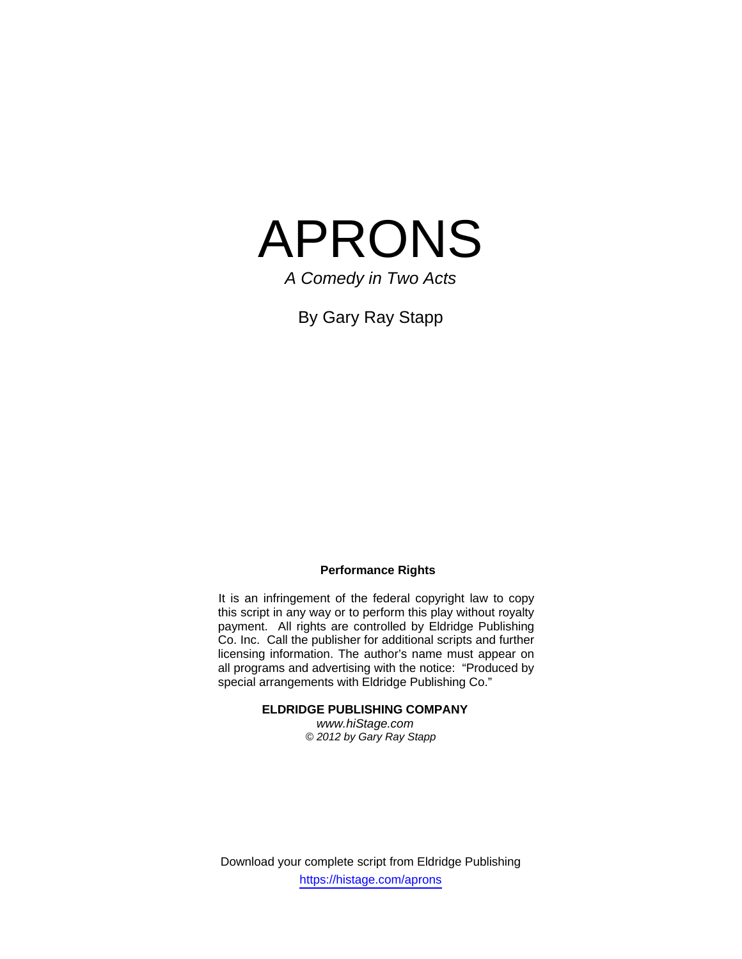

*A Comedy in Two Acts* 

By Gary Ray Stapp

#### **Performance Rights**

It is an infringement of the federal copyright law to copy this script in any way or to perform this play without royalty payment. All rights are controlled by Eldridge Publishing Co. Inc. Call the publisher for additional scripts and further licensing information. The author's name must appear on all programs and advertising with the notice: "Produced by special arrangements with Eldridge Publishing Co."

**ELDRIDGE PUBLISHING COMPANY** 

*www.hiStage.com © 2012 by Gary Ray Stapp*

Download your complete script from Eldridge Publishing https://histage.com/aprons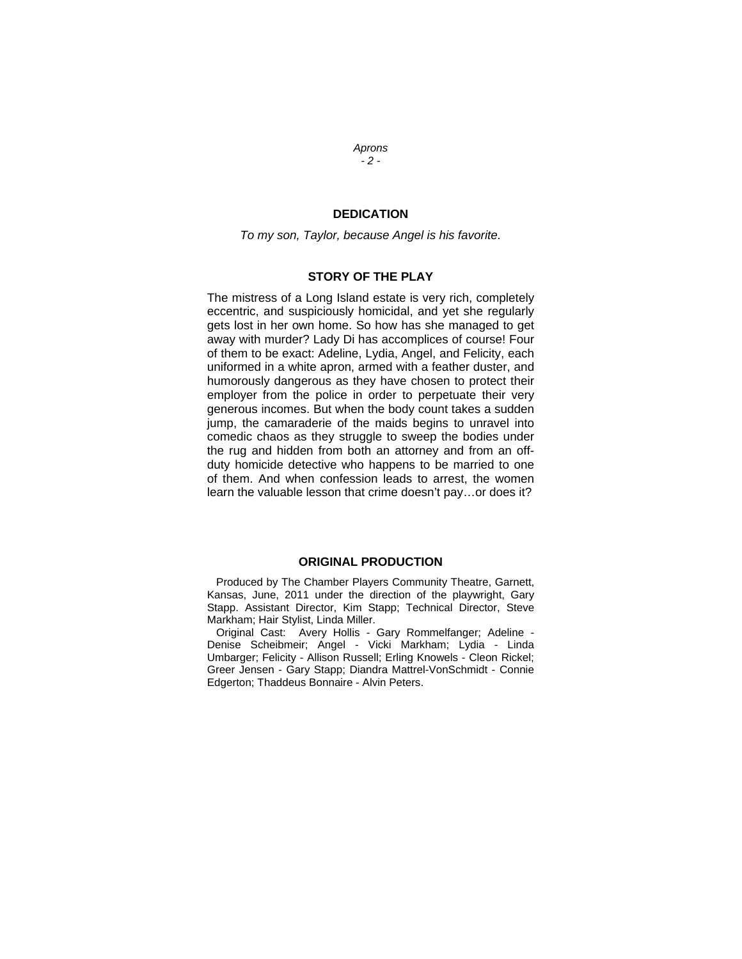## *Aprons - 2 -*

### **DEDICATION**

*To my son, Taylor, because Angel is his favorite.* 

#### **STORY OF THE PLAY**

The mistress of a Long Island estate is very rich, completely eccentric, and suspiciously homicidal, and yet she regularly gets lost in her own home. So how has she managed to get away with murder? Lady Di has accomplices of course! Four of them to be exact: Adeline, Lydia, Angel, and Felicity, each uniformed in a white apron, armed with a feather duster, and humorously dangerous as they have chosen to protect their employer from the police in order to perpetuate their very generous incomes. But when the body count takes a sudden jump, the camaraderie of the maids begins to unravel into comedic chaos as they struggle to sweep the bodies under the rug and hidden from both an attorney and from an offduty homicide detective who happens to be married to one of them. And when confession leads to arrest, the women learn the valuable lesson that crime doesn't pay…or does it?

#### **ORIGINAL PRODUCTION**

 Produced by The Chamber Players Community Theatre, Garnett, Kansas, June, 2011 under the direction of the playwright, Gary Stapp. Assistant Director, Kim Stapp; Technical Director, Steve Markham; Hair Stylist, Linda Miller.

 Original Cast: Avery Hollis - Gary Rommelfanger; Adeline - Denise Scheibmeir; Angel - Vicki Markham; Lydia - Linda Umbarger; Felicity - Allison Russell; Erling Knowels - Cleon Rickel; Greer Jensen - Gary Stapp; Diandra Mattrel-VonSchmidt - Connie Edgerton; Thaddeus Bonnaire - Alvin Peters.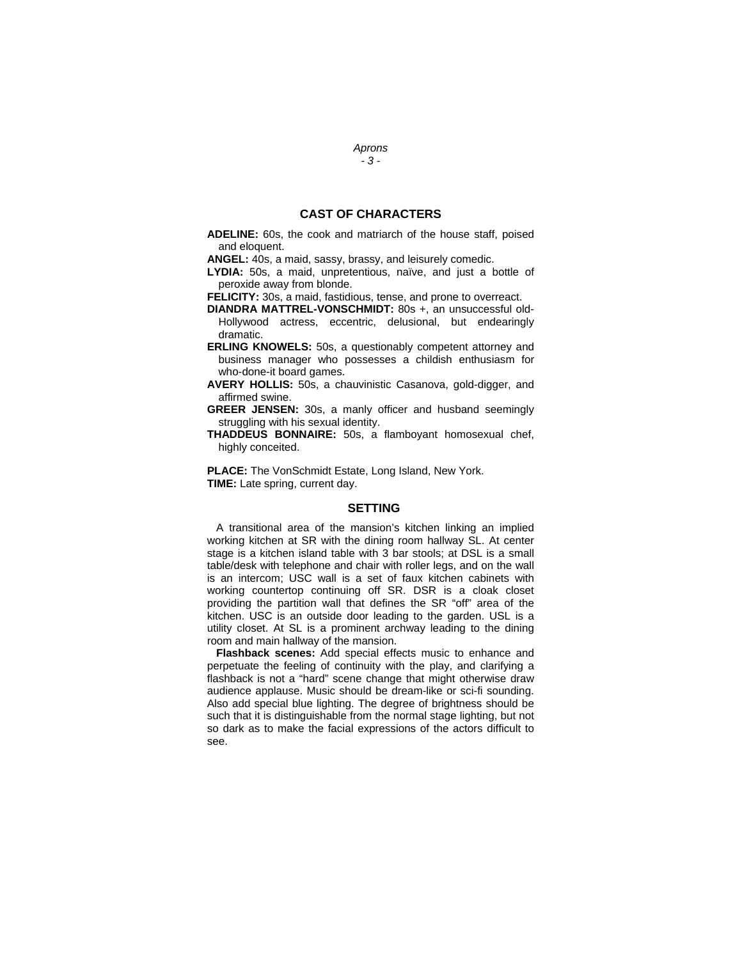### **CAST OF CHARACTERS**

**ADELINE:** 60s, the cook and matriarch of the house staff, poised and eloquent.

**ANGEL:** 40s, a maid, sassy, brassy, and leisurely comedic.

**LYDIA:** 50s, a maid, unpretentious, naïve, and just a bottle of peroxide away from blonde.

**FELICITY:** 30s, a maid, fastidious, tense, and prone to overreact.

- **DIANDRA MATTREL-VONSCHMIDT:** 80s +, an unsuccessful old-Hollywood actress, eccentric, delusional, but endearingly dramatic.
- **ERLING KNOWELS:** 50s, a questionably competent attorney and business manager who possesses a childish enthusiasm for who-done-it board games.
- **AVERY HOLLIS:** 50s, a chauvinistic Casanova, gold-digger, and affirmed swine.
- **GREER JENSEN:** 30s, a manly officer and husband seemingly struggling with his sexual identity.
- **THADDEUS BONNAIRE:** 50s, a flamboyant homosexual chef, highly conceited.

**PLACE:** The VonSchmidt Estate, Long Island, New York. **TIME:** Late spring, current day.

#### **SETTING**

 A transitional area of the mansion's kitchen linking an implied working kitchen at SR with the dining room hallway SL. At center stage is a kitchen island table with 3 bar stools; at DSL is a small table/desk with telephone and chair with roller legs, and on the wall is an intercom; USC wall is a set of faux kitchen cabinets with working countertop continuing off SR. DSR is a cloak closet providing the partition wall that defines the SR "off" area of the kitchen. USC is an outside door leading to the garden. USL is a utility closet. At SL is a prominent archway leading to the dining room and main hallway of the mansion.

 **Flashback scenes:** Add special effects music to enhance and perpetuate the feeling of continuity with the play, and clarifying a flashback is not a "hard" scene change that might otherwise draw audience applause. Music should be dream-like or sci-fi sounding. Also add special blue lighting. The degree of brightness should be such that it is distinguishable from the normal stage lighting, but not so dark as to make the facial expressions of the actors difficult to see.

#### *Aprons - 3 -*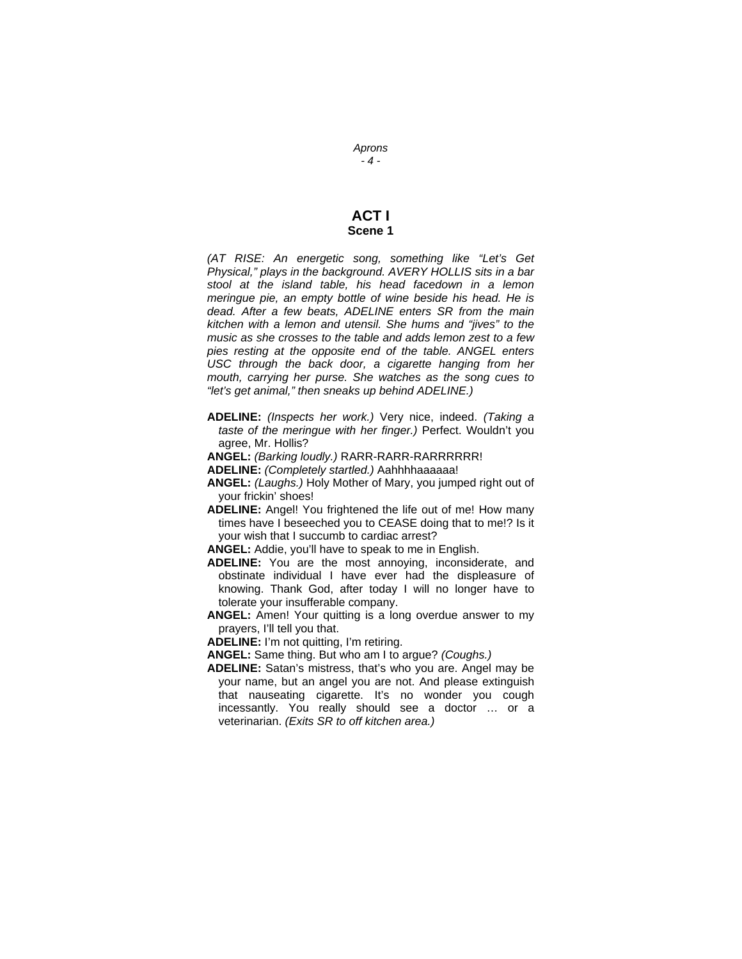### **ACT I Scene 1**

*(AT RISE: An energetic song, something like "Let's Get Physical," plays in the background. AVERY HOLLIS sits in a bar stool at the island table, his head facedown in a lemon meringue pie, an empty bottle of wine beside his head. He is dead. After a few beats, ADELINE enters SR from the main kitchen with a lemon and utensil. She hums and "jives" to the music as she crosses to the table and adds lemon zest to a few pies resting at the opposite end of the table. ANGEL enters USC through the back door, a cigarette hanging from her mouth, carrying her purse. She watches as the song cues to "let's get animal," then sneaks up behind ADELINE.)* 

- **ADELINE:** *(Inspects her work.)* Very nice, indeed. *(Taking a taste of the meringue with her finger.)* Perfect. Wouldn't you agree, Mr. Hollis?
- **ANGEL:** *(Barking loudly.)* RARR-RARR-RARRRRRR!
- **ADELINE:** *(Completely startled.)* Aahhhhaaaaaa!
- **ANGEL:** *(Laughs.)* Holy Mother of Mary, you jumped right out of your frickin' shoes!
- **ADELINE:** Angel! You frightened the life out of me! How many times have I beseeched you to CEASE doing that to me!? Is it your wish that I succumb to cardiac arrest?

**ANGEL:** Addie, you'll have to speak to me in English.

- **ADELINE:** You are the most annoying, inconsiderate, and obstinate individual I have ever had the displeasure of knowing. Thank God, after today I will no longer have to tolerate your insufferable company.
- **ANGEL:** Amen! Your quitting is a long overdue answer to my prayers, I'll tell you that.

**ADELINE:** I'm not quitting, I'm retiring.

- **ANGEL:** Same thing. But who am I to argue? *(Coughs.)*
- **ADELINE:** Satan's mistress, that's who you are. Angel may be your name, but an angel you are not. And please extinguish that nauseating cigarette. It's no wonder you cough incessantly. You really should see a doctor … or a veterinarian. *(Exits SR to off kitchen area.)*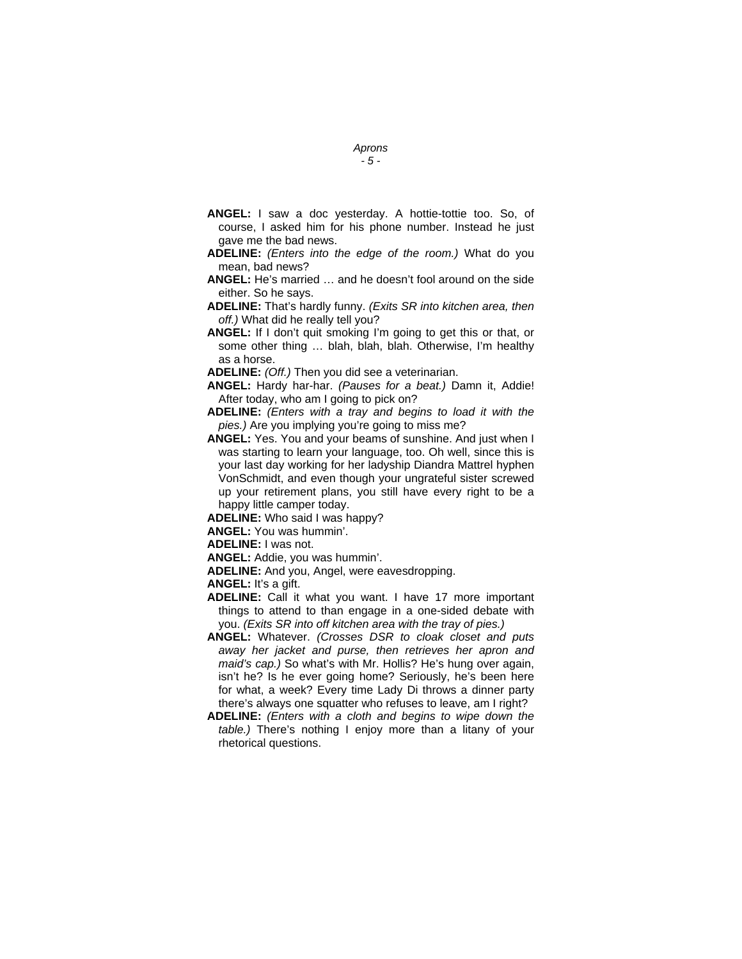- *Aprons*
- *5*
- **ANGEL:** I saw a doc yesterday. A hottie-tottie too. So, of course, I asked him for his phone number. Instead he just gave me the bad news.
- **ADELINE:** *(Enters into the edge of the room.)* What do you mean, bad news?
- **ANGEL:** He's married … and he doesn't fool around on the side either. So he says.
- **ADELINE:** That's hardly funny. *(Exits SR into kitchen area, then off.)* What did he really tell you?
- **ANGEL:** If I don't quit smoking I'm going to get this or that, or some other thing … blah, blah, blah. Otherwise, I'm healthy as a horse.
- **ADELINE:** *(Off.)* Then you did see a veterinarian.
- **ANGEL:** Hardy har-har. *(Pauses for a beat.)* Damn it, Addie! After today, who am I going to pick on?
- **ADELINE:** *(Enters with a tray and begins to load it with the pies.)* Are you implying you're going to miss me?
- **ANGEL:** Yes. You and your beams of sunshine. And just when I was starting to learn your language, too. Oh well, since this is your last day working for her ladyship Diandra Mattrel hyphen VonSchmidt, and even though your ungrateful sister screwed up your retirement plans, you still have every right to be a happy little camper today.
- **ADELINE:** Who said I was happy?
- **ANGEL:** You was hummin'.
- **ADELINE:** I was not.
- **ANGEL:** Addie, you was hummin'.
- **ADELINE:** And you, Angel, were eavesdropping.

**ANGEL:** It's a gift.

- **ADELINE:** Call it what you want. I have 17 more important things to attend to than engage in a one-sided debate with you. *(Exits SR into off kitchen area with the tray of pies.)*
- **ANGEL:** Whatever. *(Crosses DSR to cloak closet and puts away her jacket and purse, then retrieves her apron and maid's cap.)* So what's with Mr. Hollis? He's hung over again, isn't he? Is he ever going home? Seriously, he's been here for what, a week? Every time Lady Di throws a dinner party there's always one squatter who refuses to leave, am I right?
- **ADELINE:** *(Enters with a cloth and begins to wipe down the table.)* There's nothing I enjoy more than a litany of your rhetorical questions.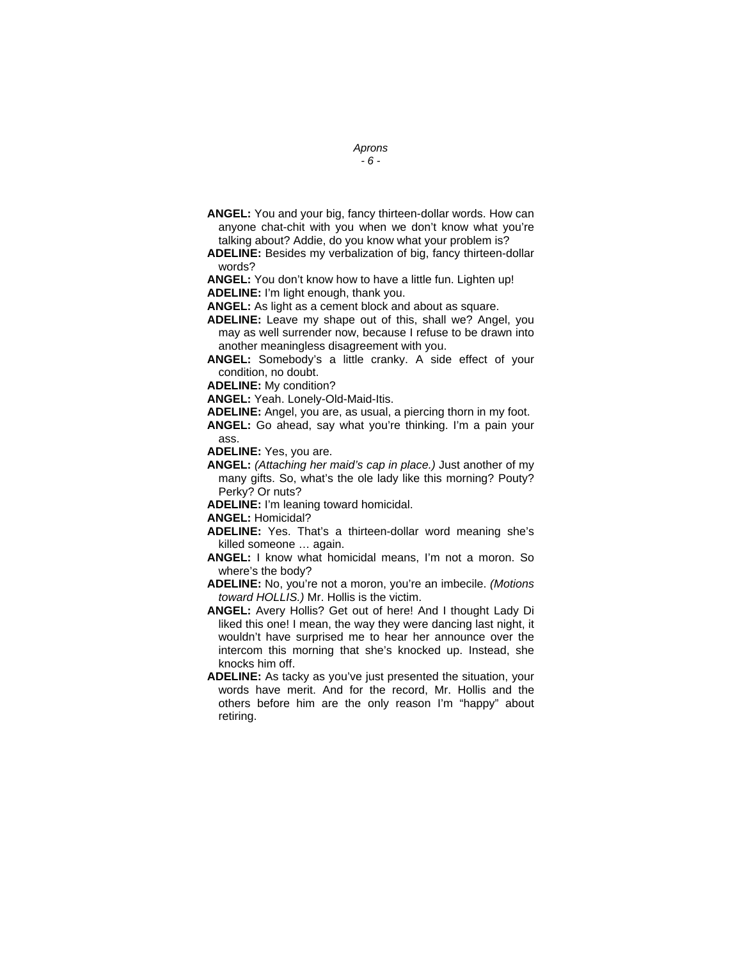- *Aprons*
- *6*
- **ANGEL:** You and your big, fancy thirteen-dollar words. How can anyone chat-chit with you when we don't know what you're talking about? Addie, do you know what your problem is?
- **ADELINE:** Besides my verbalization of big, fancy thirteen-dollar words?

**ANGEL:** You don't know how to have a little fun. Lighten up! **ADELINE:** I'm light enough, thank you.

**ANGEL:** As light as a cement block and about as square.

- **ADELINE:** Leave my shape out of this, shall we? Angel, you may as well surrender now, because I refuse to be drawn into another meaningless disagreement with you.
- **ANGEL:** Somebody's a little cranky. A side effect of your condition, no doubt.

**ADELINE:** My condition?

**ANGEL:** Yeah. Lonely-Old-Maid-Itis.

**ADELINE:** Angel, you are, as usual, a piercing thorn in my foot.

**ANGEL:** Go ahead, say what you're thinking. I'm a pain your ass.

**ADELINE:** Yes, you are.

**ANGEL:** *(Attaching her maid's cap in place.)* Just another of my many gifts. So, what's the ole lady like this morning? Pouty? Perky? Or nuts?

**ADELINE:** I'm leaning toward homicidal.

**ANGEL:** Homicidal?

- **ADELINE:** Yes. That's a thirteen-dollar word meaning she's killed someone … again.
- **ANGEL:** I know what homicidal means, I'm not a moron. So where's the body?

**ADELINE:** No, you're not a moron, you're an imbecile. *(Motions toward HOLLIS.)* Mr. Hollis is the victim.

- **ANGEL:** Avery Hollis? Get out of here! And I thought Lady Di liked this one! I mean, the way they were dancing last night, it wouldn't have surprised me to hear her announce over the intercom this morning that she's knocked up. Instead, she knocks him off.
- **ADELINE:** As tacky as you've just presented the situation, your words have merit. And for the record, Mr. Hollis and the others before him are the only reason I'm "happy" about retiring.